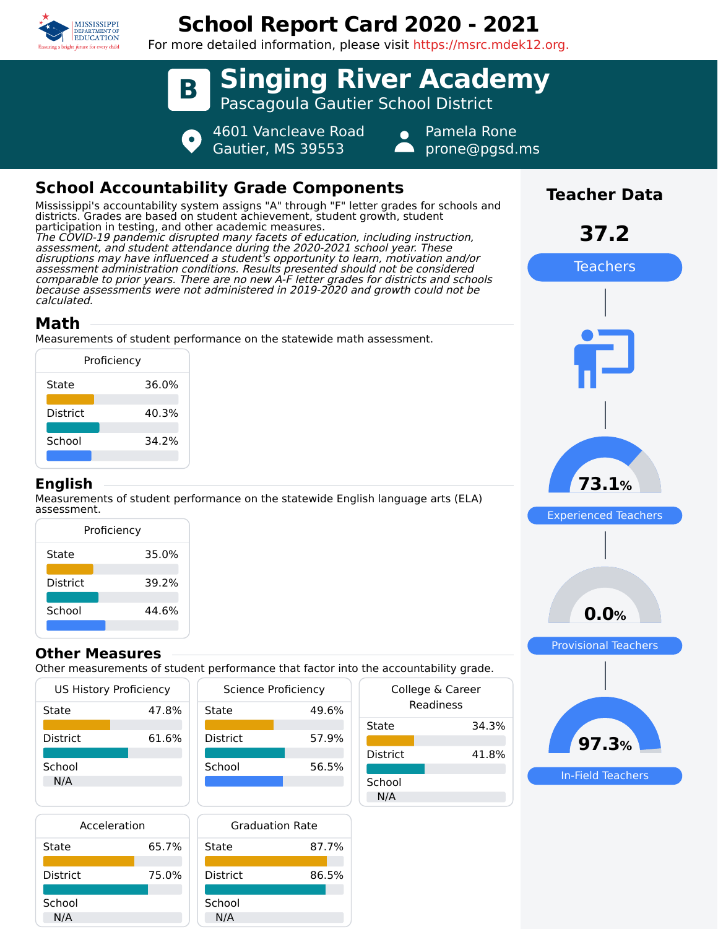

# **School Report Card 2020 - 2021**

For more detailed information, please visit https://msrc.mdek12.org.



## **School Accountability Grade Components**

Mississippi's accountability system assigns "A" through "F" letter grades for schools and districts. Grades are based on student achievement, student growth, student participation in testing, and other academic measures. The COVID-19 pandemic disrupted many facets of education, including instruction, assessment, and student attendance during the 2020-2021 school year. These disruptions may have influenced a student's opportunity to learn, motivation and/or assessment administration conditions. Results presented should not be considered comparable to prior years. There are no new A-F letter grades for districts and schools because assessments were not administered in 2019-2020 and growth could not be calculated.

### **Math**

Measurements of student performance on the statewide math assessment.

| Proficiency     |       |  |
|-----------------|-------|--|
| State           | 36.0% |  |
| <b>District</b> | 40.3% |  |
| School          | 34.2% |  |
|                 |       |  |

#### **English**

Measurements of student performance on the statewide English language arts (ELA) assessment.

| Proficiency     |       |  |  |
|-----------------|-------|--|--|
| State           | 35.0% |  |  |
| <b>District</b> | 39.2% |  |  |
| School          | 44.6% |  |  |
|                 |       |  |  |

#### **Other Measures**

Other measurements of student performance that factor into the accountability grade.

|                 | <b>US History Proficiency</b> | Science Proficiency |       |
|-----------------|-------------------------------|---------------------|-------|
| State           | 47.8%                         | State               | 49.6% |
| <b>District</b> | 61.6%                         | <b>District</b>     | 57.9% |
| School<br>N/A   |                               | School              | 56.5% |





| uic accountability grauc. |                               |  |
|---------------------------|-------------------------------|--|
|                           | College & Career<br>Readiness |  |
| State                     | 34.3%                         |  |
| District                  | 41.8%                         |  |
| School<br>N/A             |                               |  |



**Teacher Data**